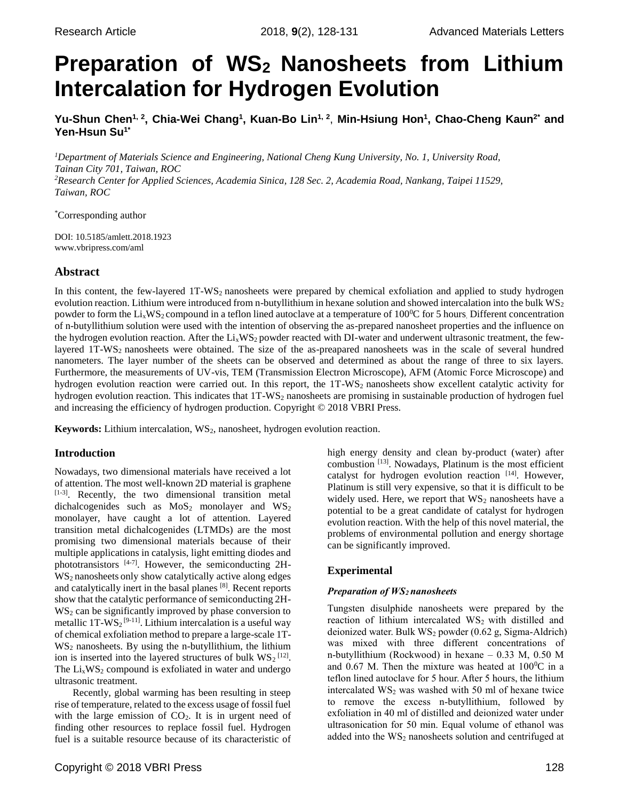# **Preparation of WS<sup>2</sup> Nanosheets from Lithium Intercalation for Hydrogen Evolution**

Yu-Shun Chen<sup>1, 2</sup>, Chia-Wei Chang<sup>1</sup>, Kuan-Bo Lin<sup>1, 2</sup>, Min-Hsiung Hon<sup>1</sup>, Chao-Cheng Kaun<sup>2\*</sup> and **Yen-Hsun Su1\***

*<sup>1</sup>Department of Materials Science and Engineering, National Cheng Kung University, No. 1, University Road, Tainan City 701, Taiwan, ROC <sup>2</sup>Research Center for Applied Sciences, Academia Sinica, 128 Sec. 2, Academia Road, Nankang, Taipei 11529, Taiwan, ROC*

\*Corresponding author

DOI: 10.5185/amlett.2018.1923 www.vbripress.com/aml

# **Abstract**

In this content, the few-layered  $1T-WS<sub>2</sub>$  nanosheets were prepared by chemical exfoliation and applied to study hydrogen evolution reaction. Lithium were introduced from n-butyllithium in hexane solution and showed intercalation into the bulk WS<sup>2</sup> powder to form the  $Li_xWS_2$  compound in a teflon lined autoclave at a temperature of 100<sup>o</sup>C for 5 hours. Different concentration of n-butyllithium solution were used with the intention of observing the as-prepared nanosheet properties and the influence on the hydrogen evolution reaction. After the  $Li_xWS_2$  powder reacted with DI-water and underwent ultrasonic treatment, the fewlayered 1T-WS<sub>2</sub> nanosheets were obtained. The size of the as-preapared nanosheets was in the scale of several hundred nanometers. The layer number of the sheets can be observed and determined as about the range of three to six layers. Furthermore, the measurements of UV-vis, TEM (Transmission Electron Microscope), AFM (Atomic Force Microscope) and hydrogen evolution reaction were carried out. In this report, the 1T-WS<sub>2</sub> nanosheets show excellent catalytic activity for hydrogen evolution reaction. This indicates that 1T-WS<sub>2</sub> nanosheets are promising in sustainable production of hydrogen fuel and increasing the efficiency of hydrogen production. Copyright © 2018 VBRI Press.

**Keywords:** Lithium intercalation, WS<sub>2</sub>, nanosheet, hydrogen evolution reaction.

# **Introduction**

Nowadays, two dimensional materials have received a lot of attention. The most well-known 2D material is graphene [1-3] . Recently, the two dimensional transition metal dichalcogenides such as  $MoS<sub>2</sub>$  monolayer and  $WS<sub>2</sub>$ monolayer, have caught a lot of attention. Layered transition metal dichalcogenides (LTMDs) are the most promising two dimensional materials because of their multiple applications in catalysis, light emitting diodes and phototransistors [4-7]. However, the semiconducting 2H-WS<sub>2</sub> nanosheets only show catalytically active along edges and catalytically inert in the basal planes<sup>[8]</sup>. Recent reports show that the catalytic performance of semiconducting 2H- $WS<sub>2</sub>$  can be significantly improved by phase conversion to metallic  $1T-WS_2^{[9-11]}$ . Lithium intercalation is a useful way of chemical exfoliation method to prepare a large-scale 1T- $WS<sub>2</sub>$  nanosheets. By using the n-butyllithium, the lithium ion is inserted into the layered structures of bulk  $WS_2$ <sup>[12]</sup>. The  $Li<sub>x</sub>WS<sub>2</sub>$  compound is exfoliated in water and undergo ultrasonic treatment.

 Recently, global warming has been resulting in steep rise of temperature, related to the excess usage of fossil fuel with the large emission of  $CO<sub>2</sub>$ . It is in urgent need of finding other resources to replace fossil fuel. Hydrogen fuel is a suitable resource because of its characteristic of high energy density and clean by-product (water) after combustion <a>[13]</a>. Nowadays, Platinum is the most efficient catalyst for hydrogen evolution reaction [14]. However, Platinum is still very expensive, so that it is difficult to be widely used. Here, we report that  $WS_2$  nanosheets have a potential to be a great candidate of catalyst for hydrogen evolution reaction. With the help of this novel material, the problems of environmental pollution and energy shortage can be significantly improved.

# **Experimental**

# *Preparation of WS2 nanosheets*

Tungsten disulphide nanosheets were prepared by the reaction of lithium intercalated WS<sub>2</sub> with distilled and deionized water. Bulk  $WS_2$  powder (0.62 g, Sigma-Aldrich) was mixed with three different concentrations of n-butyllithium (Rockwood) in hexane – 0.33 M, 0.50 M and 0.67 M. Then the mixture was heated at  $100^{\circ}$ C in a teflon lined autoclave for 5 hour. After 5 hours, the lithium intercalated WS<sup>2</sup> was washed with 50 ml of hexane twice to remove the excess n-butyllithium, followed by exfoliation in 40 ml of distilled and deionized water under ultrasonication for 50 min. Equal volume of ethanol was added into the  $WS_2$  nanosheets solution and centrifuged at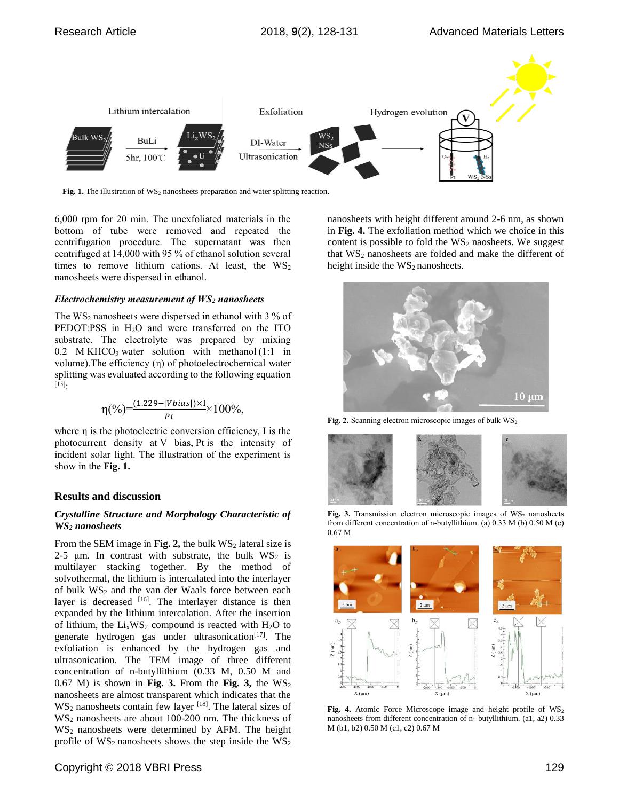

Fig. 1. The illustration of WS<sub>2</sub> nanosheets preparation and water splitting reaction.

6,000 rpm for 20 min. The unexfoliated materials in the bottom of tube were removed and repeated the centrifugation procedure. The supernatant was then centrifuged at 14,000 with 95 % of ethanol solution several times to remove lithium cations. At least, the  $WS_2$ nanosheets were dispersed in ethanol.

## *Electrochemistry measurement of WS<sup>2</sup> nanosheets*

The  $WS_2$  nanosheets were dispersed in ethanol with 3 % of PEDOT:PSS in H<sub>2</sub>O and were transferred on the ITO substrate. The electrolyte was prepared by mixing 0.2 M KHCO<sub>3</sub> water solution with methanol  $(1:1$  in volume).The efficiency (η) of photoelectrochemical water splitting was evaluated according to the following equation  $^{[15]}:$ 

$$
\eta(\%) = \frac{(1.229 - |Vbias|) \times I}{Pt} \times 100\%,
$$

where  $\eta$  is the photoelectric conversion efficiency, I is the photocurrent density at V bias, Pt is the intensity of incident solar light. The illustration of the experiment is show in the **Fig. 1.**

# **Results and discussion**

## *Crystalline Structure and Morphology Characteristic of WS<sup>2</sup> nanosheets*

From the SEM image in Fig. 2, the bulk  $WS_2$  lateral size is 2-5  $\mu$ m. In contrast with substrate, the bulk WS<sub>2</sub> is multilayer stacking together. By the method of solvothermal, the lithium is intercalated into the interlayer of bulk WS<sub>2</sub> and the van der Waals force between each layer is decreased [16]. The interlayer distance is then expanded by the lithium intercalation. After the insertion of lithium, the  $Li<sub>x</sub>WS<sub>2</sub>$  compound is reacted with H<sub>2</sub>O to generate hydrogen gas under ultrasonication $[17]$ . The exfoliation is enhanced by the hydrogen gas and ultrasonication. The TEM image of three different concentration of n-butyllithium (0.33 M, 0.50 M and 0.67 M) is shown in **Fig. 3.** From the **Fig. 3,** the  $WS_2$ nanosheets are almost transparent which indicates that the  $WS_2$  nanosheets contain few layer  $^{[18]}$ . The lateral sizes of WS<sup>2</sup> nanosheets are about 100-200 nm. The thickness of  $WS<sub>2</sub>$  nanosheets were determined by AFM. The height profile of  $WS_2$  nanosheets shows the step inside the  $WS_2$ 

nanosheets with height different around 2-6 nm, as shown in **Fig. 4.** The exfoliation method which we choice in this content is possible to fold the  $WS_2$  naosheets. We suggest that  $WS_2$  nanosheets are folded and make the different of height inside the  $WS_2$  nanosheets.



Fig. 2. Scanning electron microscopic images of bulk WS<sub>2</sub>



Fig. 3. Transmission electron microscopic images of  $WS_2$  nanosheets from different concentration of n-butyllithium. (a) 0.33 M (b) 0.50 M (c) 0.67 M



Fig. 4. Atomic Force Microscope image and height profile of  $WS_2$ nanosheets from different concentration of n- butyllithium. (a1, a2) 0.33 M (b1, b2) 0.50 M (c1, c2) 0.67 M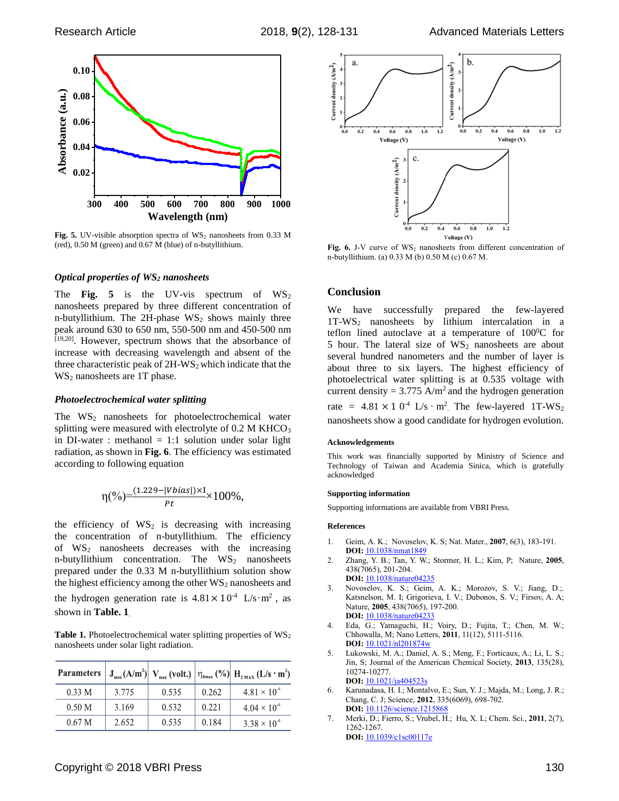

Fig. 5. UV-visible absorption spectra of WS<sub>2</sub> nanosheets from 0.33 M (red), 0.50 M (green) and 0.67 M (blue) of n-butyllithium.

#### *Optical properties of WS<sup>2</sup> nanosheets*

The **Fig. 5** is the UV-vis spectrum of  $WS_2$ nanosheets prepared by three different concentration of n-butyllithium. The  $2H$ -phase  $WS_2$  shows mainly three peak around 630 to 650 nm, 550-500 nm and 450-500 nm [19,20]. However, spectrum shows that the absorbance of increase with decreasing wavelength and absent of the three characteristic peak of  $2H-WS<sub>2</sub>$  which indicate that the WS<sub>2</sub> nanosheets are 1T phase.

#### *Photoelectrochemical water splitting*

The  $WS_2$  nanosheets for photoelectrochemical water splitting were measured with electrolyte of 0.2 M KHCO<sub>3</sub> in DI-water : methanol  $= 1:1$  solution under solar light radiation, as shown in **Fig. 6**. The efficiency was estimated according to following equation

$$
\eta(\%) = \frac{(1.229 - |Vbias|) \times I}{Pt} \times 100\%,
$$

the efficiency of  $WS_2$  is decreasing with increasing the concentration of n-butyllithium. The efficiency of  $WS_2$  nanosheets decreases with the increasing n-butyllithium concentration. The  $WS_2$  nanosheets prepared under the 0.33 M n-butyllithium solution show the highest efficiency among the other  $WS_2$  nanosheets and the hydrogen generation rate is  $4.81 \times 10^{-4}$  L/s·m<sup>2</sup>, as shown in **Table. 1**.

Table 1. Photoelectrochemical water splitting properties of WS<sub>2</sub> nanosheets under solar light radiation.

| <b>Parameters</b> |       |       |       | $J_{\text{max}}(A/m^2)$ $V_{\text{max}}$ (volt.) $ \eta_{\text{0max}}(\%) $ $H_{\text{2MAX}}(L/s \cdot m^2)$ |
|-------------------|-------|-------|-------|--------------------------------------------------------------------------------------------------------------|
| 0.33 <sub>M</sub> | 3.775 | 0.535 | 0.262 | $4.81 \times 10^{4}$                                                                                         |
| 0.50 <sub>M</sub> | 3.169 | 0.532 | 0.221 | $4.04 \times 10^{-4}$                                                                                        |
| 0.67 <sub>M</sub> | 2.652 | 0.535 | 0.184 | 3 38 $\times$ 10 <sup>-4</sup>                                                                               |



Fig. 6. J-V curve of WS<sub>2</sub> nanosheets from different concentration of n-butyllithium. (a) 0.33 M (b) 0.50 M (c) 0.67 M.

### **Conclusion**

We have successfully prepared the few-layered 1T-WS<sup>2</sup> nanosheets by lithium intercalation in a teflon lined autoclave at a temperature of  $100^0C$  for 5 hour. The lateral size of  $WS_2$  nanosheets are about several hundred nanometers and the number of layer is about three to six layers. The highest efficiency of photoelectrical water splitting is at 0.535 voltage with current density =  $3.775$  A/m<sup>2</sup> and the hydrogen generation rate =  $4.81 \times 10^{-4}$  L/s  $\cdot$  m<sup>2</sup>. The few-layered 1T-WS<sub>2</sub> nanosheets show a good candidate for hydrogen evolution.

#### **Acknowledgements**

This work was financially supported by Ministry of Science and Technology of Taiwan and Academia Sinica, which is gratefully acknowledged

#### **Supporting information**

Supporting informations are available from VBRI Press.

#### **References**

- 1. Geim, A. K.; Novoselov, K. S; Nat. Mater., **2007**, 6(3), 183-191. **DOI:** 10.1038/nmat1849
- 2. Zhang, Y. B.; Tan, Y. W.; Stormer, H. L.; Kim, P; Nature, **2005**, 438(7065), 201-204.
- **DOI:** 10.1038/nature04235
- 3. Novoselov, K. S.; Geim, A. K.; Morozov, S. V.; Jiang, D.;. Katsnelson, M. I; Grigorieva, I. V.; Dubonos, S. V.; Firsov, A. A; Nature, **2005**, 438(7065), 197-200. **DOI:** 10.1038/nature04233
- 4. Eda, G.; Yamaguchi, H.; Voiry, D.; Fujita, T.; Chen, M. W.; Chhowalla, M; Nano Letters, **2011**, 11(12), 5111-5116. **DOI:** 10.1021/nl201874w
- 5. Lukowski, M. A.; Daniel, A. S.; Meng, F.; Forticaux, A.; Li, L. S.; Jin, S; Journal of the American Chemical Society, **2013**, 135(28), 10274-10277.

**DOI:** 10.1021/ja404523s

- 6. Karunadasa, H. I.; Montalvo, E.; Sun, Y. J.; Majda, M.; Long, J. R.; Chang, C. J; Science, **2012**, 335(6069), 698-702. **DOI:** 10.1126/science.1215868
- 7. Merki, D.; Fierro, S.; Vrubel, H.; Hu, X. L; Chem. Sci., **2011**, 2(7), 1262-1267. **DOI:** 10.1039/c1sc00117e